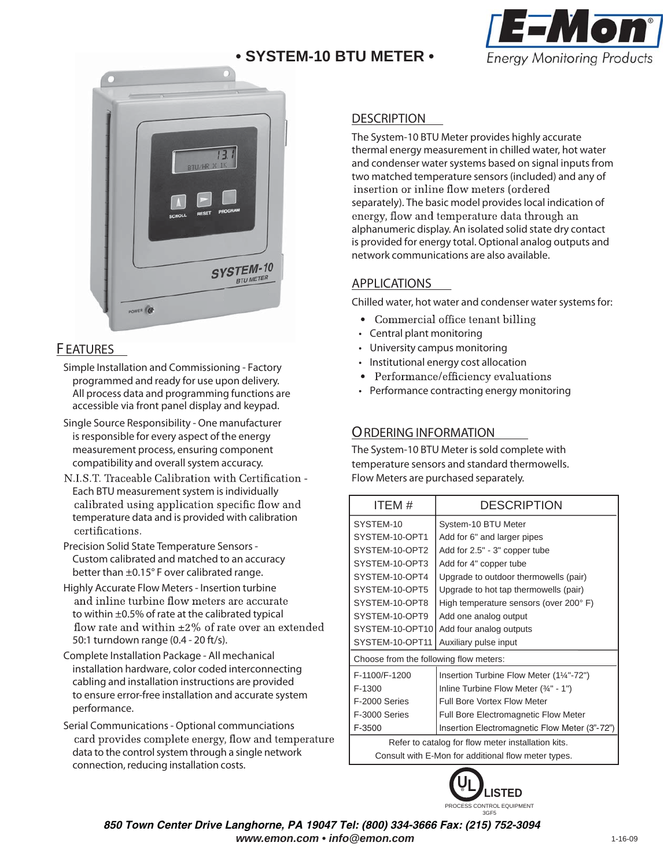# **• SYSTEM-10 BTU METER •**





## **F EATURES**

- Simple Installation and Commissioning Factory programmed and ready for use upon delivery. All process data and programming functions are accessible via front panel display and keypad.
- Single Source Responsibility One manufacturer is responsible for every aspect of the energy measurement process, ensuring component compatibility and overall system accuracy.
- N.I.S.T. Traceable Calibration with Certification -Each BTU measurement system is individually calibrated using application specific flow and temperature data and is provided with calibration certifications.
- Precision Solid State Temperature Sensors Custom calibrated and matched to an accuracy better than ±0.15° F over calibrated range.
- Highly Accurate Flow Meters Insertion turbine and inline turbine flow meters are accurate to within ±0.5% of rate at the calibrated typical flow rate and within  $\pm 2\%$  of rate over an extended 50:1 turndown range (0.4 - 20 ft/s).
- Complete Installation Package All mechanical installation hardware, color coded interconnecting cabling and installation instructions are provided to ensure error-free installation and accurate system performance.
- Serial Communications Optional communciations card provides complete energy, flow and temperature data to the control system through a single network connection, reducing installation costs.

### **DESCRIPTION**

The System-10 BTU Meter provides highly accurate thermal energy measurement in chilled water, hot water and condenser water systems based on signal inputs from two matched temperature sensors (included) and any of insertion or inline flow meters (ordered separately). The basic model provides local indication of energy, flow and temperature data through an alphanumeric display. An isolated solid state dry contact is provided for energy total. Optional analog outputs and network communications are also available.

## **APPLICATIONS**

Chilled water, hot water and condenser water systems for:

- Commercial office tenant billing
- Central plant monitoring
- University campus monitoring
- Institutional energy cost allocation
- Performance/efficiency evaluations
- Performance contracting energy monitoring

## **ORDERING INFORMATION**

The System-10 BTU Meter is sold complete with temperature sensors and standard thermowells. Flow Meters are purchased separately.

| ITEM #                                              | <b>DESCRIPTION</b>                            |
|-----------------------------------------------------|-----------------------------------------------|
| SYSTEM-10                                           | System-10 BTU Meter                           |
| SYSTEM-10-OPT1                                      | Add for 6" and larger pipes                   |
| SYSTEM-10-OPT2                                      | Add for 2.5" - 3" copper tube                 |
| SYSTEM-10-OPT3                                      | Add for 4" copper tube                        |
| SYSTEM-10-OPT4                                      | Upgrade to outdoor thermowells (pair)         |
| SYSTEM-10-OPT5                                      | Upgrade to hot tap thermowells (pair)         |
| SYSTEM-10-OPT8                                      | High temperature sensors (over 200° F)        |
| SYSTEM-10-OPT9                                      | Add one analog output                         |
| SYSTEM-10-OPT10                                     | Add four analog outputs                       |
| SYSTEM-10-OPT11                                     | Auxiliary pulse input                         |
| Choose from the following flow meters:              |                                               |
| F-1100/F-1200                                       | Insertion Turbine Flow Meter (11/4"-72")      |
| F-1300                                              | Inline Turbine Flow Meter (34" - 1")          |
| F-2000 Series                                       | <b>Full Bore Vortex Flow Meter</b>            |
| F-3000 Series                                       | <b>Full Bore Electromagnetic Flow Meter</b>   |
| F-3500                                              | Insertion Electromagnetic Flow Meter (3"-72") |
| Refer to catalog for flow meter installation kits.  |                                               |
| Consult with E-Mon for additional flow meter types. |                                               |



*850 Town Center Drive Langhorne, PA 19047 Tel: (800) 334-3666 Fax: (215) 752-3094 www.emon.com • info@emon.com*